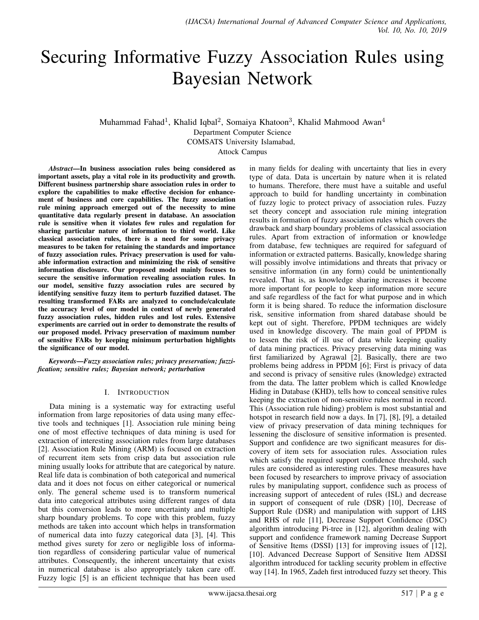# Securing Informative Fuzzy Association Rules using Bayesian Network

Muhammad Fahad<sup>1</sup>, Khalid Iqbal<sup>2</sup>, Somaiya Khatoon<sup>3</sup>, Khalid Mahmood Awan<sup>4</sup>

Department Computer Science

COMSATS University Islamabad,

Attock Campus

*Abstract*—In business association rules being considered as important assets, play a vital role in its productivity and growth. Different business partnership share association rules in order to explore the capabilities to make effective decision for enhancement of business and core capabilities. The fuzzy association rule mining approach emerged out of the necessity to mine quantitative data regularly present in database. An association rule is sensitive when it violates few rules and regulation for sharing particular nature of information to third world. Like classical association rules, there is a need for some privacy measures to be taken for retaining the standards and importance of fuzzy association rules. Privacy preservation is used for valuable information extraction and minimizing the risk of sensitive information disclosure. Our proposed model mainly focuses to secure the sensitive information revealing association rules. In our model, sensitive fuzzy association rules are secured by identifying sensitive fuzzy item to perturb fuzzified dataset. The resulting transformed FARs are analyzed to conclude/calculate the accuracy level of our model in context of newly generated fuzzy association rules, hidden rules and lost rules. Extensive experiments are carried out in order to demonstrate the results of our proposed model. Privacy preservation of maximum number of sensitive FARs by keeping minimum perturbation highlights the significance of our model.

*Keywords*—*Fuzzy association rules; privacy preservation; fuzzification; sensitive rules; Bayesian network; perturbation*

## I. INTRODUCTION

Data mining is a systematic way for extracting useful information from large repositories of data using many effective tools and techniques [1]. Association rule mining being one of most effective techniques of data mining is used for extraction of interesting association rules from large databases [2]. Association Rule Mining (ARM) is focused on extraction of recurrent item sets from crisp data but association rule mining usually looks for attribute that are categorical by nature. Real life data is combination of both categorical and numerical data and it does not focus on either categorical or numerical only. The general scheme used is to transform numerical data into categorical attributes using different ranges of data but this conversion leads to more uncertainty and multiple sharp boundary problems. To cope with this problem, fuzzy methods are taken into account which helps in transformation of numerical data into fuzzy categorical data [3], [4]. This method gives surety for zero or negligible loss of information regardless of considering particular value of numerical attributes. Consequently, the inherent uncertainty that exists in numerical database is also appropriately taken care off. Fuzzy logic [5] is an efficient technique that has been used

in many fields for dealing with uncertainty that lies in every type of data. Data is uncertain by nature when it is related to humans. Therefore, there must have a suitable and useful approach to build for handling uncertainty in combination of fuzzy logic to protect privacy of association rules. Fuzzy set theory concept and association rule mining integration results in formation of fuzzy association rules which covers the drawback and sharp boundary problems of classical association rules. Apart from extraction of information or knowledge from database, few techniques are required for safeguard of information or extracted patterns. Basically, knowledge sharing will possibly involve intimidations and threats that privacy or sensitive information (in any form) could be unintentionally revealed. That is, as knowledge sharing increases it become more important for people to keep information more secure and safe regardless of the fact for what purpose and in which form it is being shared. To reduce the information disclosure risk, sensitive information from shared database should be kept out of sight. Therefore, PPDM techniques are widely used in knowledge discovery. The main goal of PPDM is to lessen the risk of ill use of data while keeping quality of data mining practices. Privacy preserving data mining was first familiarized by Agrawal [2]. Basically, there are two problems being address in PPDM [6]; First is privacy of data and second is privacy of sensitive rules (knowledge) extracted from the data. The latter problem which is called Knowledge Hiding in Database (KHD), tells how to conceal sensitive rules keeping the extraction of non-sensitive rules normal in record. This (Association rule hiding) problem is most substantial and hotspot in research field now a days. In [7], [8], [9], a detailed view of privacy preservation of data mining techniques for lessening the disclosure of sensitive information is presented. Support and confidence are two significant measures for discovery of item sets for association rules. Association rules which satisfy the required support confidence threshold, such rules are considered as interesting rules. These measures have been focused by researchers to improve privacy of association rules by manipulating support, confidence such as process of increasing support of antecedent of rules (ISL) and decrease in support of consequent of rule (DSR) [10], Decrease of Support Rule (DSR) and manipulation with support of LHS and RHS of rule [11], Decrease Support Confidence (DSC) algorithm introducing Pi-tree in [12], algorithm dealing with support and confidence framework naming Decrease Support of Sensitive Items (DSSI) [13] for improving issues of [12], [10]. Advanced Decrease Support of Sensitive Item ADSSI algorithm introduced for tackling security problem in effective way [14]. In 1965, Zadeh first introduced fuzzy set theory. This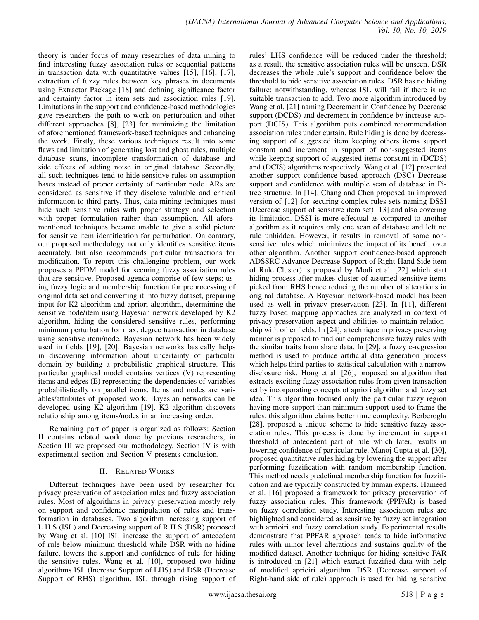theory is under focus of many researches of data mining to find interesting fuzzy association rules or sequential patterns in transaction data with quantitative values [15], [16], [17], extraction of fuzzy rules between key phrases in documents using Extractor Package [18] and defining significance factor and certainty factor in item sets and association rules [19]. Limitations in the support and confidence-based methodologies gave researchers the path to work on perturbation and other different approaches [8], [23] for minimizing the limitation of aforementioned framework-based techniques and enhancing the work. Firstly, these various techniques result into some flaws and limitation of generating lost and ghost rules, multiple database scans, incomplete transformation of database and side effects of adding noise in original database. Secondly, all such techniques tend to hide sensitive rules on assumption bases instead of proper certainty of particular node. ARs are considered as sensitive if they disclose valuable and critical information to third party. Thus, data mining techniques must hide such sensitive rules with proper strategy and selection with proper formulation rather than assumption. All aforementioned techniques became unable to give a solid picture for sensitive item identification for perturbation. On contrary, our proposed methodology not only identifies sensitive items accurately, but also recommends particular transactions for modification. To report this challenging problem, our work proposes a PPDM model for securing fuzzy association rules that are sensitive. Proposed agenda comprise of few steps; using fuzzy logic and membership function for preprocessing of original data set and converting it into fuzzy dataset, preparing input for K2 algorithm and apriori algorithm, determining the sensitive node/item using Bayesian network developed by K2 algorithm, hiding the considered sensitive rules, performing minimum perturbation for max. degree transaction in database using sensitive item/node. Bayesian network has been widely used in fields [19], [20]. Bayesian networks basically helps in discovering information about uncertainty of particular domain by building a probabilistic graphical structure. This particular graphical model contains vertices (V) representing items and edges (E) representing the dependencies of variables probabilistically on parallel items. Items and nodes are variables/attributes of proposed work. Bayesian networks can be developed using K2 algorithm [19]. K2 algorithm discovers relationship among items/nodes in an increasing order.

Remaining part of paper is organized as follows: Section II contains related work done by previous researchers, in Section III we proposed our methodology, Section IV is with experimental section and Section V presents conclusion.

## II. RELATED WORKS

Different techniques have been used by researcher for privacy preservation of association rules and fuzzy association rules. Most of algorithms in privacy preservation mostly rely on support and confidence manipulation of rules and transformation in databases. Two algorithm increasing support of L.H.S (ISL) and Decreasing support of R.H.S (DSR) proposed by Wang et al. [10] ISL increase the support of antecedent of rule below minimum threshold while DSR with no hiding failure, lowers the support and confidence of rule for hiding the sensitive rules. Wang et al. [10], proposed two hiding algorithms ISL (Increase Support of LHS) and DSR (Decrease Support of RHS) algorithm. ISL through rising support of rules' LHS confidence will be reduced under the threshold; as a result, the sensitive association rules will be unseen. DSR decreases the whole rule's support and confidence below the threshold to hide sensitive association rules. DSR has no hiding failure; notwithstanding, whereas ISL will fail if there is no suitable transaction to add. Two more algorithm introduced by Wang et al. [21] naming Decrement in Confidence by Decrease support (DCDS) and decrement in confidence by increase support (DCIS). This algorithm puts combined recommendation association rules under curtain. Rule hiding is done by decreasing support of suggested item keeping others items support constant and increment in support of non-suggested items while keeping support of suggested items constant in (DCDS) and (DCIS) algorithms respectively. Wang et al. [12] presented another support confidence-based approach (DSC) Decrease support and confidence with multiple scan of database in Pitree structure. In [14], Chang and Chen proposed an improved version of [12] for securing complex rules sets naming DSSI (Decrease support of sensitive item set) [13] and also covering its limitation. DSSI is more effectual as compared to another algorithm as it requires only one scan of database and left no rule unhidden. However, it results in removal of some nonsensitive rules which minimizes the impact of its benefit over other algorithm. Another support confidence-based approach ADSSRC Advance Decrease Support of Right-Hand Side item of Rule Cluster) is proposed by Modi et al. [22] which start hiding process after makes cluster of assumed sensitive items picked from RHS hence reducing the number of alterations in original database. A Bayesian network-based model has been used as well in privacy preservation [23]. In [11], different fuzzy based mapping approaches are analyzed in context of privacy preservation aspect and abilities to maintain relationship with other fields. In [24], a technique in privacy preserving manner is proposed to find out comprehensive fuzzy rules with the similar traits from share data. In [29], a fuzzy c-regression method is used to produce artificial data generation process which helps third parties to statistical calculation with a narrow disclosure risk. Hong et al. [26], proposed an algorithm that extracts exciting fuzzy association rules from given transaction set by incorporating concepts of apriori algorithm and fuzzy set idea. This algorithm focused only the particular fuzzy region having more support than minimum support used to frame the rules. this algorithm claims better time complexity. Berberoglu [28], proposed a unique scheme to hide sensitive fuzzy association rules. This process is done by increment in support threshold of antecedent part of rule which later, results in lowering confidence of particular rule. Manoj Gupta et al. [30], proposed quantitative rules hiding by lowering the support after performing fuzzification with random membership function. This method needs predefined membership function for fuzzification and are typically constructed by human experts. Hameed et al. [16] proposed a framework for privacy preservation of fuzzy association rules. This framework (PPFAR) is based on fuzzy correlation study. Interesting association rules are highlighted and considered as sensitive by fuzzy set integration with aprioiri and fuzzy correlation study. Experimental results demonstrate that PPFAR approach tends to hide informative rules with minor level alterations and sustains quality of the modified dataset. Another technique for hiding sensitive FAR is introduced in [21] which extract fuzzified data with help of modified aprioiri algorithm. DSR (Decrease support of Right-hand side of rule) approach is used for hiding sensitive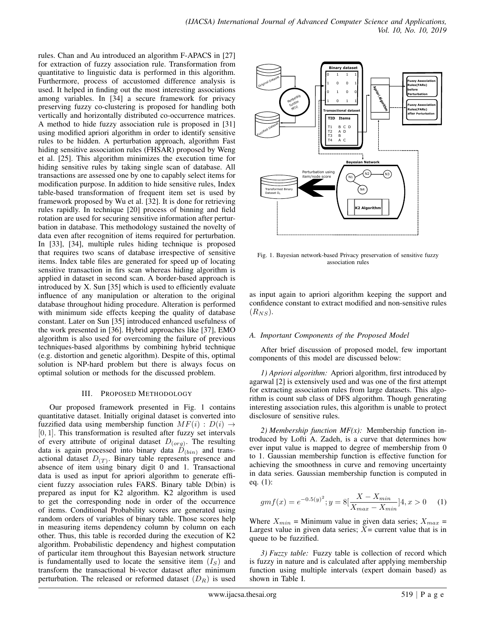rules. Chan and Au introduced an algorithm F-APACS in [27] for extraction of fuzzy association rule. Transformation from quantitative to linguistic data is performed in this algorithm. Furthermore, process of accustomed difference analysis is used. It helped in finding out the most interesting associations among variables. In [34] a secure framework for privacy preserving fuzzy co-clustering is proposed for handling both vertically and horizontally distributed co-occurrence matrices. A method to hide fuzzy association rule is proposed in [31] using modified apriori algorithm in order to identify sensitive rules to be hidden. A perturbation approach, algorithm Fast hiding sensitive association rules (FHSAR) proposed by Weng et al. [25]. This algorithm minimizes the execution time for hiding sensitive rules by taking single scan of database. All transactions are assessed one by one to capably select items for modification purpose. In addition to hide sensitive rules, Index table-based transformation of frequent item set is used by framework proposed by Wu et al. [32]. It is done for retrieving rules rapidly. In technique [20] process of binning and field rotation are used for securing sensitive information after perturbation in database. This methodology sustained the novelty of data even after recognition of items required for perturbation. In [33], [34], multiple rules hiding technique is proposed that requires two scans of database irrespective of sensitive items. Index table files are generated for speed up of locating sensitive transaction in firs scan whereas hiding algorithm is applied in dataset in second scan. A border-based approach is introduced by X. Sun [35] which is used to efficiently evaluate influence of any manipulation or alteration to the original database throughout hiding procedure. Alteration is performed with minimum side effects keeping the quality of database constant. Later on Sun [35] introduced enhanced usefulness of the work presented in [36]. Hybrid approaches like [37], EMO algorithm is also used for overcoming the failure of previous techniques-based algorithms by combining hybrid technique (e.g. distortion and genetic algorithm). Despite of this, optimal solution is NP-hard problem but there is always focus on optimal solution or methods for the discussed problem.

#### III. PROPOSED METHODOLOGY

Our proposed framework presented in Fig. 1 contains quantitative dataset. Initially original dataset is converted into fuzzified data using membership function  $MF(i) : D(i) \rightarrow$  $[0, 1]$ . This transformation is resulted after fuzzy set intervals of every attribute of original dataset  $D_{(org)}$ . The resulting data is again processed into binary data  $D_{(bin)}$  and transactional dataset  $D_{(T)}$ . Binary table represents presence and absence of item using binary digit 0 and 1. Transactional data is used as input for apriori algorithm to generate efficient fuzzy association rules FARS. Binary table D(bin) is prepared as input for K2 algorithm. K2 algorithm is used to get the corresponding node in order of the occurrence of items. Conditional Probability scores are generated using random orders of variables of binary table. Those scores help in measuring items dependency column by column on each other. Thus, this table is recorded during the execution of K2 algorithm. Probabilistic dependency and highest computation of particular item throughout this Bayesian network structure is fundamentally used to locate the sensitive item  $(I<sub>S</sub>)$  and transform the transactional bi-vector dataset after minimum perturbation. The released or reformed dataset  $(D_R)$  is used



Fig. 1. Bayesian network-based Privacy preservation of sensitive fuzzy association rules

as input again to apriori algorithm keeping the support and confidence constant to extract modified and non-sensitive rules  $(R_{NS})$ .

## *A. Important Components of the Proposed Model*

After brief discussion of proposed model, few important components of this model are discussed below:

*1) Apriori algorithm:* Apriori algorithm, first introduced by agarwal [2] is extensively used and was one of the first attempt for extracting association rules from large datasets. This algorithm is count sub class of DFS algorithm. Though generating interesting association rules, this algorithm is unable to protect disclosure of sensitive rules.

*2) Membership function MF(x):* Membership function introduced by Lofti A. Zadeh, is a curve that determines how ever input value is mapped to degree of membership from 0 to 1. Gaussian membership function is effective function for achieving the smoothness in curve and removing uncertainty in data series. Gaussian membership function is computed in eq. (1):

$$
gmf(x) = e^{-0.5(y)^2}; y = 8[\frac{X - X_{min}}{X_{max} - X_{min}}]4, x > 0 \quad (1)
$$

Where  $X_{min}$  = Minimum value in given data series;  $X_{max}$  = Largest value in given data series;  $X =$  current value that is in queue to be fuzzified.

*3) Fuzzy table:* Fuzzy table is collection of record which is fuzzy in nature and is calculated after applying membership function using multiple intervals (expert domain based) as shown in Table I.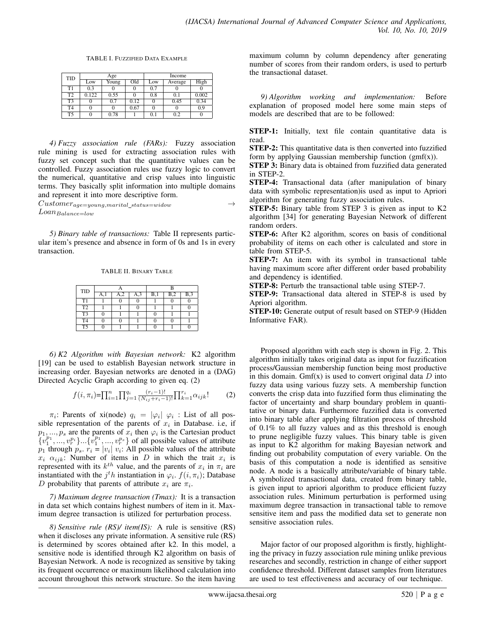TABLE I. FUZZIFIED DATA EXAMPLE

| <b>TID</b>     |       | Age   |      | Income |         |       |  |
|----------------|-------|-------|------|--------|---------|-------|--|
|                | Low   | Young | Old  | Low    | Average | High  |  |
| T1             | 0.3   |       | 0    | 0.7    |         |       |  |
| T <sub>2</sub> | 0.122 | 0.55  |      | 0.8    | 0.1     | 0.002 |  |
| T <sub>3</sub> |       | 0.7   | 0.12 |        | 0.45    | 0.34  |  |
| T <sub>4</sub> | 0     |       | 0.67 |        |         | 0.9   |  |
| T <sub>5</sub> |       | 0.78  |      | 0.1    | 0.2     |       |  |

*4) Fuzzy association rule (FARs):* Fuzzy association rule mining is used for extracting association rules with fuzzy set concept such that the quantitative values can be controlled. Fuzzy association rules use fuzzy logic to convert the numerical, quantitative and crisp values into linguistic terms. They basically split information into multiple domains and represent it into more descriptive form.

 $Customer_{age=young,marital\_status=window} \rightarrow$  $Loan_{Balance=low}$ 

*5) Binary table of transactions:* Table II represents particular item's presence and absence in form of 0s and 1s in every transaction.

#### TABLE II. BINARY TABLE

| TID            |    |               |     |                  |  |
|----------------|----|---------------|-----|------------------|--|
|                | А, | $\mathcal{P}$ | B,1 | B <sub>1</sub> 2 |  |
| T <sub>1</sub> |    |               |     |                  |  |
| T2             |    |               |     |                  |  |
| T <sub>3</sub> |    |               |     |                  |  |
| T <sub>4</sub> |    |               |     |                  |  |
| T <sub>5</sub> |    |               |     |                  |  |

*6) K2 Algorithm with Bayesian network:* K2 algorithm [19] can be used to establish Bayesian network structure in increasing order. Bayesian networks are denoted in a (DAG) Directed Acyclic Graph according to given eq. (2)

$$
f(i, \pi_i) = \prod_{i=1}^n \prod_{j=1}^{q_i} \frac{(r_i - 1)!}{(N_{ij} + r_i - 1)!} \prod_{k=1}^{r_i} \alpha_{ijk}!
$$
 (2)

 $\pi_i$ : Parents of xi(node)  $q_i = |\varphi_i| \varphi_i$ : List of all possible representation of the parents of  $x_i$  in Database. i.e, if  $p_1, ..., p_s$  are the parents of  $x_i$  then  $\varphi_i$  is the Cartesian product  $\{v_1^{p_1},...,v_r^{p_i}\}\dots\{v_1^{p_1},...,v_r^{p_s}\}$  of all possible values of attribute  $p_1$  through  $p_s$ .  $r_i = |v_i| v_i$ : All possible values of the attribute  $x_i$   $\alpha_{ijk}$ : Number of items in D in which the trait  $x_i$  is represented with its  $k^{th}$  value, and the parents of  $x_i$  in  $\pi_i$  are instantiated with the  $j<sup>t</sup> h$  instantiation in  $\varphi_i$ .  $f(i, \pi_i)$ ; Database D probability that parents of attribute  $x_i$  are  $\pi_i$ .

*7) Maximum degree transaction (Tmax):* It is a transaction in data set which contains highest numbers of item in it. Maximum degree transaction is utilized for perturbation process.

*8) Sensitive rule (RS)/ item(IS):* A rule is sensitive (RS) when it discloses any private information. A sensitive rule (RS) is determined by scores obtained after k2. In this model, a sensitive node is identified through K2 algorithm on basis of Bayesian Network. A node is recognized as sensitive by taking its frequent occurrence or maximum likelihood calculation into account throughout this network structure. So the item having

maximum column by column dependency after generating number of scores from their random orders, is used to perturb the transactional dataset.

*9) Algorithm working and implementation:* Before explanation of proposed model here some main steps of models are described that are to be followed:

STEP-1: Initially, text file contain quantitative data is read.

STEP-2: This quantitative data is then converted into fuzzified form by applying Gaussian membership function  $(gmf(x))$ .

STEP 3: Binary data is obtained from fuzzified data generated in STEP-2.

STEP-4: Transactional data (after manipulation of binary data with symbolic representation)is used as input to Apriori algorithm for generating fuzzy association rules.

STEP-5: Binary table from STEP 3 is given as input to K2 algorithm [34] for generating Bayesian Network of different random orders.

STEP-6: After K2 algorithm, scores on basis of conditional probability of items on each other is calculated and store in table from STEP-5.

STEP-7: An item with its symbol in transactional table having maximum score after different order based probability and dependency is identified.

STEP-8: Perturb the transactional table using STEP-7.

STEP-9: Transactional data altered in STEP-8 is used by Apriori algorithm.

STEP-10: Generate output of result based on STEP-9 (Hidden Informative FAR).

Proposed algorithm with each step is shown in Fig. 2. This algorithm initially takes original data as input for fuzzification process/Gaussian membership function being most productive in this domain. Gmf(x) is used to convert original data  $D$  into fuzzy data using various fuzzy sets. A membership function converts the crisp data into fuzzified form thus eliminating the factor of uncertainty and sharp boundary problem in quantitative or binary data. Furthermore fuzzified data is converted into binary table after applying filtration process of threshold of 0.1% to all fuzzy values and as this threshold is enough to prune negligible fuzzy values. This binary table is given as input to K2 algorithm for making Bayesian network and finding out probability computation of every variable. On the basis of this computation a node is identified as sensitive node. A node is a basically attribute/variable of binary table. A symbolized transactional data, created from binary table, is given input to apriori algorithm to produce efficient fuzzy association rules. Minimum perturbation is performed using maximum degree transaction in transactional table to remove sensitive item and pass the modified data set to generate non sensitive association rules.

Major factor of our proposed algorithm is firstly, highlighting the privacy in fuzzy association rule mining unlike previous researches and secondly, restriction in change of either support confidence threshold. Different dataset samples from literatures are used to test effectiveness and accuracy of our technique.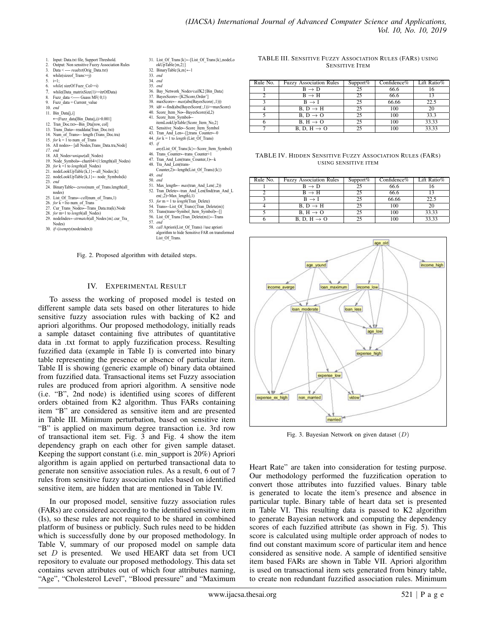- 1. Input: Data.txt file, Support Threshold. 2. Output: Non sensitive Fuzzy Association Rules
- 3. Data < ---- *readtxt*(Orig\_Data.txt)<br>4. while(size of Trans>=i)
- 4. while(sizeof\_Trans>=j)<br>5.  $i=1$ :
- 5.  $i=1$ ;<br>6 *whil*
- while( sizeOf Fuzz\_Col>=i)
- 7. while(Data\_matrixSize(1)>=itrOfData)<br>8. Fuzz\_data <----- Guass MF( 0;1)
- 9. Fuzz\_data = Current\_value<br>10. end
- 10. *end*
- 11. Bin Data[j,i]
- ←(Fuzz\_data[Bin\_Data(j,i)>0.001]
- 12. Tran\_Doc.txt←Bin\_Dta[row, col]
- 13. Trans\_Data←readdata(Tran\_Doc.txt) 14. Num\_of\_Trans← length (Trans\_Doc.tra)
- 15. for  $k = 1$  to num of Trans
- 16. All nodes← [all Nodes,Trans\_Data.tra,Node]
- *17. end*
- 18. All\_Nodes=*unique*(all\_Nodes)<br>19. Node Symbols--char(64+(1:le Node\_Symbols←char(64+(1:length(all\_Nodes)
- 20. *for*  $k = 1$  to *length*(all Nodes)
- 21. nodeLookUpTable $\{k,1\}$ ←all\_Nodes $\{k\}$
- 22. nodeLookUpTable{k,1}← node\_Symbols(k)
- 23. *end* 24. BinaryTable←*zeros*(num\_of\_Trans.length(all\_
- nodes)
- 25. List\_Of\_Trans←*cell*(num\_of\_Trans,1)
- 26. for  $\overline{k} = 1$  to num of Trans
- 27. Cur\_Trans\_Nodes←Trans\_Data.tra(k).Node
- 28. *for* m=1 to *length*(all\_Nodes)<br>29. nodeIndex—strmatch(all\_Nodes) 29. nodeIndex←*strmatch*(all\_Nodes{m}.cur\_Tra\_
- Nodes)
- 30. *if*~(*isempty*(nodeindex))
- 44. *for* k = 1 to *length* (List\_Of\_Trans) 45. *if any*(List\_Of\_Trans{k}←Score\_Item\_Symbol)
- 46. Trans\_Counter←trans\_Counter+1 47. Tran\_And\_Len(trans\_Counter,1)←k
- 48. Tra And Len(trans-

32. BinaryTable $\{k,m\} \leftarrow 1$ 

33. *end*  34. *end* 35. *end*

- Counter, $2$ )←length(List Of Trans){k}) 49. *end*
- 
- 

31. List\_Of\_Trans{k}←[List\_Of\_Trans{k},nodeLo okUpTable{m,2}]

36. Bay\_Network\_Nodes<*call*K2{Bin\_Data} 37. BayesScore←[K2Score,Order'] 38. maxScore← *max*(abs(BayesScore(:,1))) 39. id# ←find(abs(BayesScore(:,1))>=maxScore) 40. Score\_Item\_No←BayesScore(id,2)<br>41. Score\_Item\_Symbol← 41. Score\_Item\_Symbol← itemLookUpTable{Score\_Item\_No,2} 42. Sensitive\_Node←Score\_Item\_Symbol 43. Tran And Len←[];trans\_Counter←0

- 
- 
- 56. List\_Of\_Trans{Tran\_Delete(m)}←Trans
- 57. *end*
- algorithm to hide Sensitive FAR on transformed List Of Trans.

## Fig. 2. Proposed algorithm with detailed steps.

#### IV. EXPERIMENTAL RESULT

To assess the working of proposed model is tested on different sample data sets based on other literatures to hide sensitive fuzzy association rules with backing of K2 and apriori algorithms. Our proposed methodology, initially reads a sample dataset containing five attributes of quantitative data in .txt format to apply fuzzification process. Resulting fuzzified data (example in Table I) is converted into binary table representing the presence or absence of particular item. Table II is showing (generic example of) binary data obtained from fuzzified data. Transactional items set Fuzzy association rules are produced from apriori algorithm. A sensitive node (i.e. "B", 2nd node) is identified using scores of different orders obtained from K2 algorithm. Thus FARs containing item "B" are considered as sensitive item and are presented in Table III. Minimum perturbation, based on sensitive item "B" is applied on maximum degree transaction i.e. 3rd row of transactional item set. Fig. 3 and Fig. 4 show the item dependency graph on each other for given sample dataset. Keeping the support constant (i.e. min\_support is 20%) Apriori algorithm is again applied on perturbed transactional data to generate non sensitive association rules. As a result, 6 out of 7 rules from sensitive fuzzy association rules based on identified sensitive item, are hidden that are mentioned in Table IV.

In our proposed model, sensitive fuzzy association rules (FARs) are considered according to the identified sensitive item (Is), so these rules are not required to be shared in combined platform of business or publicly. Such rules need to be hidden which is successfully done by our proposed methodology. In Table V, summary of our proposed model on sample data set  $D$  is presented. We used HEART data set from UCI repository to evaluate our proposed methodology. This data set contains seven attributes out of which four attributes naming, "Age", "Cholesterol Level", "Blood pressure" and "Maximum

| TABLE III. SENSITIVE FUZZY ASSOCIATION RULES (FARS) USING |                       |  |  |
|-----------------------------------------------------------|-----------------------|--|--|
|                                                           | <b>SENSITIVE ITEM</b> |  |  |

| Rule No. | <b>Fuzzy Association Rules</b> | Support% | Confidence $%$ | Lift Ratio% |
|----------|--------------------------------|----------|----------------|-------------|
|          | $B \rightarrow D$              | 25       | 66.6           | 16          |
|          | $B \rightarrow H$              | 25       | 66.6           | 13          |
|          | $B \rightarrow I$              | 25       | 66.66          | 22.5        |
|          | $B, D \rightarrow H$           | 25       | 100            | 20          |
|          | $B. D \rightarrow O$           | 25       | 100            | 33.3        |
|          | $B, H \rightarrow O$           | 25       | 100            | 33.33       |
|          | B, D, H $\rightarrow$ O        |          | 100            | 33.33       |

TABLE IV. HIDDEN SENSITIVE FUZZY ASSOCIATION RULES (FARS) USING SENSITIVE ITEM

| Rule No. | <b>Fuzzy Association Rules</b> | Support $%$ | $Confidence\%$ | Lift Ratio% |
|----------|--------------------------------|-------------|----------------|-------------|
|          | $B \rightarrow D$              | つう          | 66.6           |             |
|          | $B \rightarrow H$              | 25          | 66.6           | 13          |
|          | $B \rightarrow I$              | 25          | 66.66          | 22.5        |
|          | $B, D \rightarrow H$           |             | 100            | 20          |
|          | $B, H \rightarrow O$           |             | 100            | 33.33       |
|          | B, D, H $\rightarrow$ O        |             | 100            | 33.33       |



Fig. 3. Bayesian Network on given dataset  $(D)$ 

Heart Rate" are taken into consideration for testing purpose. Our methodology performed the fuzzification operation to convert those attributes into fuzzified values. Binary table is generated to locate the item's presence and absence in particular tuple. Binary table of heart data set is presented in Table VI. This resulting data is passed to K2 algorithm to generate Bayesian network and computing the dependency scores of each fuzzified attribute (as shown in Fig. 5). This score is calculated using multiple order approach of nodes to find out constant maximum score of particular item and hence considered as sensitive node. A sample of identified sensitive item based FARs are shown in Table VII. Apriori algorithm is used on transactional item sets generated from binary table, to create non redundant fuzzified association rules. Minimum

- 50. *end* 51. Max\_length← *max*(tran\_And\_Len(:,2)) 52. Tran\_Delete←tran\_And\_Len(find(tran\_And\_L  $en(:,\overline{2})=Max\_length),1)$ 
	-
- 53. for  $m = 1$  to *length*(Tran\_Delete)
- 54. Trans←List\_Of\_Trans){Tran\_Delete(m)}
- 
- 55. Trans(trans=Symbol\_Item\_Symbol)←[]<br>56. List\_Of\_Trans{Tran\_Delete(m)}←Tran
- - 58. *call* Apriori(List\_Of\_Trans) //use apriori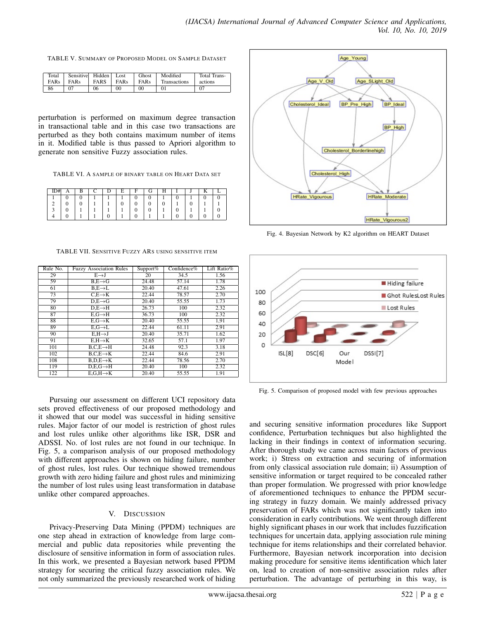TABLE V. SUMMARY OF PROPOSED MODEL ON SAMPLE DATASET

| Total | Sensitive | Hidden      | Lost        | Ghost   | Modified     | Total Trans- |
|-------|-----------|-------------|-------------|---------|--------------|--------------|
| FARs  | FARs      | <b>FARS</b> | <b>FARs</b> | FARs    | Transactions | actions      |
| 86    |           | 06          | $_{00}$     | $_{00}$ | 01           |              |

perturbation is performed on maximum degree transaction in transactional table and in this case two transactions are perturbed as they both contains maximum number of items in it. Modified table is thus passed to Apriori algorithm to generate non sensitive Fuzzy association rules.

TABLE VI. A SAMPLE OF BINARY TABLE ON HEART DATA SET

|  |   |                          | Е | н | ſ÷ |  |                          |  |
|--|---|--------------------------|---|---|----|--|--------------------------|--|
|  |   |                          |   |   |    |  |                          |  |
|  |   | л                        |   |   |    |  |                          |  |
|  | ٠ | $\overline{\phantom{a}}$ |   |   |    |  | $\overline{\phantom{a}}$ |  |
|  |   |                          |   |   |    |  |                          |  |

TABLE VII. SENSITIVE FUZZY ARS USING SENSITIVE ITEM

| Rule No. | <b>Fuzzy Association Rules</b> | Support $%$ | Confidence%        | Lift Ratio% |
|----------|--------------------------------|-------------|--------------------|-------------|
| 29       | $E \rightarrow J$              | 20          | 34.5               | 1.56        |
| 59       | $B.E \rightarrow G$            | 24.48       | 57.14              | 1.78        |
| 61       | $B.E\rightarrow L$             | 20.40       | 47.61              | 2.26        |
| 73       | $C.E \rightarrow K$            | 22.44       | 78.57              | 2.70        |
| 79       | $D.E \rightarrow G$            | 20.40       | $\overline{55.55}$ | 1.73        |
| 80       | $D.E \rightarrow H$            | 26.73       | 100                | 2.32        |
| 87       | $E.G \rightarrow H$            | 36.73       | 100                | 2.32        |
| 88       | $E.G \rightarrow K$            | 20.40       | 55.55              | 1,91        |
| 89       | $E.G \rightarrow L$            | 22.44       | 61.11              | 2.91        |
| 90       | $E.H \rightarrow J$            | 20.40       | 35.71              | 1.62        |
| 91       | $E.H\rightarrow K$             | 32.65       | 57.1               | 1.97        |
| 101      | $B.C.E \rightarrow H$          | 24.48       | 92.3               | 3.18        |
| 102      | $B.C.E \rightarrow K$          | 22.44       | 84.6               | 2.91        |
| 108      | $B.D.E \rightarrow K$          | 22.44       | 78.56              | 2.70        |
| 119      | $D.E.G \rightarrow H$          | 20.40       | 100                | 2.32        |
| 122      | $E.G.H\rightarrow K$           | 20.40       | 55.55              | 1.91        |

Pursuing our assessment on different UCI repository data sets proved effectiveness of our proposed methodology and it showed that our model was successful in hiding sensitive rules. Major factor of our model is restriction of ghost rules and lost rules unlike other algorithms like ISR, DSR and ADSSI. No. of lost rules are not found in our technique. In Fig. 5, a comparison analysis of our proposed methodology with different approaches is shown on hiding failure, number of ghost rules, lost rules. Our technique showed tremendous growth with zero hiding failure and ghost rules and minimizing the number of lost rules using least transformation in database unlike other compared approaches.

# V. DISCUSSION

Privacy-Preserving Data Mining (PPDM) techniques are one step ahead in extraction of knowledge from large commercial and public data repositories while preventing the disclosure of sensitive information in form of association rules. In this work, we presented a Bayesian network based PPDM strategy for securing the critical fuzzy association rules. We not only summarized the previously researched work of hiding



Fig. 4. Bayesian Network by K2 algorithm on HEART Dataset



Fig. 5. Comparison of proposed model with few previous approaches

and securing sensitive information procedures like Support confidence, Perturbation techniques but also highlighted the lacking in their findings in context of information securing. After thorough study we came across main factors of previous work; i) Stress on extraction and securing of information from only classical association rule domain; ii) Assumption of sensitive information or target required to be concealed rather than proper formulation. We progressed with prior knowledge of aforementioned techniques to enhance the PPDM securing strategy in fuzzy domain. We mainly addressed privacy preservation of FARs which was not significantly taken into consideration in early contributions. We went through different highly significant phases in our work that includes fuzzification techniques for uncertain data, applying association rule mining technique for items relationships and their correlated behavior. Furthermore, Bayesian network incorporation into decision making procedure for sensitive items identification which later on, lead to creation of non-sensitive association rules after perturbation. The advantage of perturbing in this way, is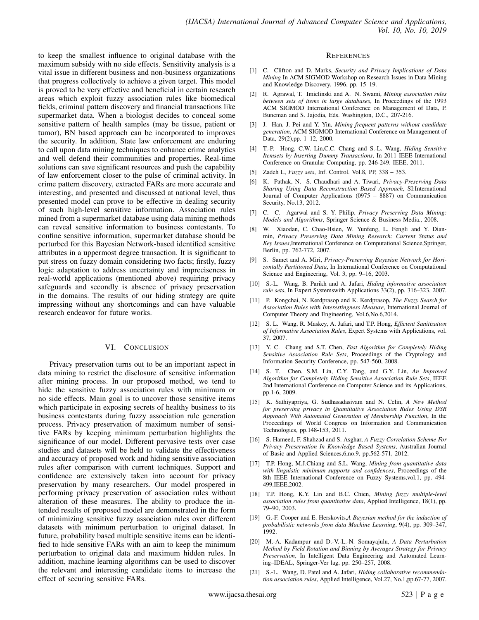to keep the smallest influence to original database with the maximum subsidy with no side effects. Sensitivity analysis is a vital issue in different business and non-business organizations that progress collectively to achieve a given target. This model is proved to be very effective and beneficial in certain research areas which exploit fuzzy association rules like biomedical fields, criminal pattern discovery and financial transactions like supermarket data. When a biologist decides to conceal some sensitive pattern of health samples (may be tissue, patient or tumor), BN based approach can be incorporated to improves the security. In addition, State law enforcement are enduring to call upon data mining techniques to enhance crime analytics and well defend their communities and properties. Real-time solutions can save significant resources and push the capability of law enforcement closer to the pulse of criminal activity. In crime pattern discovery, extracted FARs are more accurate and interesting, and presented and discussed at national level, thus presented model can prove to be effective in dealing security of such high-level sensitive information. Association rules mined from a supermarket database using data mining methods can reveal sensitive information to business contestants. To confine sensitive information, supermarket database should be perturbed for this Bayesian Network-based identified sensitive attributes in a uppermost degree transaction. It is significant to put stress on fuzzy domain considering two facts; firstly, fuzzy logic adaptation to address uncertainty and impreciseness in real-world applications (mentioned above) requiring privacy safeguards and secondly is absence of privacy preservation in the domains. The results of our hiding strategy are quite impressing without any shortcomings and can have valuable research endeavor for future works.

## VI. CONCLUSION

Privacy preservation turns out to be an important aspect in data mining to restrict the disclosure of sensitive information after mining process. In our proposed method, we tend to hide the sensitive fuzzy association rules with minimum or no side effects. Main goal is to uncover those sensitive items which participate in exposing secrets of healthy business to its business contestants during fuzzy association rule generation process. Privacy preservation of maximum number of sensitive FARs by keeping minimum perturbation highlights the significance of our model. Different pervasive tests over case studies and datasets will be held to validate the effectiveness and accuracy of proposed work and hiding sensitive association rules after comparison with current techniques. Support and confidence are extensively taken into account for privacy preservation by many researchers. Our model prospered in performing privacy preservation of association rules without alteration of these measures. The ability to produce the intended results of proposed model are demonstrated in the form of minimizing sensitive fuzzy association rules over different datasets with minimum perturbation to original dataset. In future, probability based multiple sensitive items can be identified to hide sensitive FARs with an aim to keep the minimum perturbation to original data and maximum hidden rules. In addition, machine learning algorithms can be used to discover the relevant and interesting candidate items to increase the effect of securing sensitive FARs.

#### **REFERENCES**

- [1] C. Clifton and D. Marks, *Security and Privacy Implications of Data Mining* In ACM SIGMOD Workshop on Research Issues in Data Mining and Knowledge Discovery, 1996, pp. 15–19.
- [2] R. Agrawal, T. Imielinski and A. N. Swami, *Mining association rules between sets of items in large databases*, In Proceedings of the 1993 ACM SIGMOD International Conference on Management of Data, P. Buneman and S. Jajodia, Eds. Washington, D.C., 207-216.
- [3] J. Han, J. Pei and Y. Yin, *Mining frequent patterns without candidate generation*, ACM SIGMOD International Conference on Management of Data, 29(2),pp. 1–12, 2000.
- [4] T.-P. Hong, C.W. Lin,C.C. Chang and S.-L. Wang, *Hiding Sensitive Itemsets by Inserting Dummy Transactions*, In 2011 IEEE International Conference on Granular Computing, pp. 246-249. IEEE, 2011.
- [5] Zadeh L, *Fuzzy sets*, Inf. Control. Vol.8, PP, 338 353.
- [6] K. Pathak, N. S. Chaudhari and A. Tiwari, *Privacy-Preserving Data Sharing Using Data Reconstruction Based Approach*, SI:International Journal of Computer Applications (0975 – 8887) on Communication Security, No.13, 2012.
- [7] C. C. Agarwal and S. Y. Philip, *Privacy Preserving Data Mining: Models and Algorithms*, Springer Science & Business Media., 2008.
- W. Xiaodan, C. Chao-Hsien, W. Yunfeng, L. Fengli and Y. Dianmin, *Privacy Preserving Data Mining Research: Current Status and Key Issues*,International Conference on Computational Science,Springer, Berlin, pp. 762-772, 2007.
- [9] S. Samet and A. Miri, *Privacy-Preserving Bayesian Network for Horizontally Partitioned Data*, In International Conference on Computational Science and Engineering, Vol. 3, pp. 9–16, 2003.
- [10] S.-L. Wang, B. Parikh and A. Jafari, *Hiding informative association rule sets*, In Expert Systemswith Applications 33(2), pp. 316–323, 2007.
- [11] P. Kongchai, N. Kerdprasop and K. Kerdprasop, *The Fuzzy Search for Association Rules with Interestingness Measure*, International Journal of Computer Theory and Engineering, Vol.6,No.6,2014.
- [12] S. L. Wang, R. Maskey, A. Jafari, and T.P. Hong, *Efficient Sanitization of Informative Association Rules*, Expert Systems with Applications, vol. 37, 2007.
- [13] Y. C. Chang and S.T. Chen, *Fast Algorithm for Completely Hiding Sensitive Association Rule Sets*, Proceedings of the Cryptology and Information Security Conference, pp. 547-560, 2008.
- [14] S. T. Chen, S.M. Lin, C.Y. Tang, and G.Y. Lin, *An Improved Algorithm for Completely Hiding Sensitive Association Rule Sets*, IEEE 2nd International Conference on Computer Science and its Applications, pp.1-6, 2009.
- [15] K. Sathiyapriya, G. Sudhasadasivam and N. Celin, *A New Method for preserving privacy in Quantitative Association Rules Using DSR Approach With Automated Generation of Membership Function*, In the Proceedings of World Congress on Information and Communication Technologies, pp.148-153, 2011.
- [16] S. Hameed, F. Shahzad and S. Asghar, *A Fuzzy Correlation Scheme For Privacy Preservation In Knowledge Based Systems*, Australian Journal of Basic and Applied Sciences,6,no.9, pp.562-571, 2012.
- [17] T.P. Hong, M.J.Chiang and S.L. Wang, *Mining from quantitative data with linguistic minimum supports and confidences*, Proceedings of the 8th IEEE International Conference on Fuzzy Systems,vol.1, pp. 494- 499,IEEE,2002.
- [18] T.P. Hong, K.Y. Lin and B.C. Chien, *Mining fuzzy multiple-level association rules from quantitative data*, Applied Intelligence, 18(1), pp. 79–90, 2003.
- [19] G.-F. Cooper and E. Herskovits,*A Bayesian method for the induction of probabilistic networks from data Machine Learning*, 9(4), pp. 309–347, 1992.
- [20] M.-A. Kadampur and D.-V.-L.-N. Somayajulu, *A Data Perturbation Method by Field Rotation and Binning by Averages Strategy for Privacy Preservation*, In Intelligent Data Engineering and Automated Learning–IDEAL, Springer-Ver lag, pp. 250–257, 2008.
- [21] S.-L. Wang, D. Patel and A. Jafari, *Hiding collaborative recommendation association rules*, Applied Intelligence, Vol.27, No.1,pp.67-77, 2007.